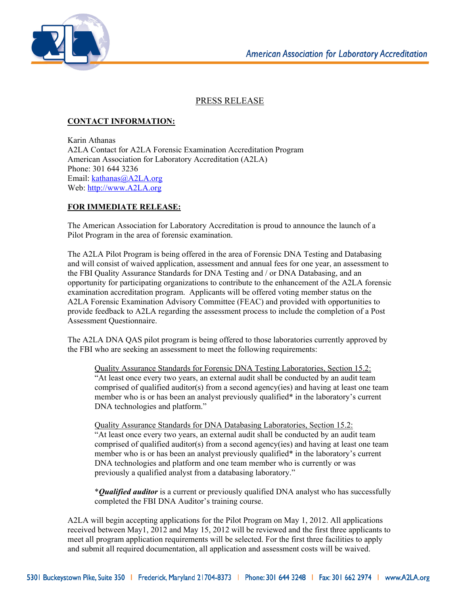

## PRESS RELEASE

## **CONTACT INFORMATION:**

Karin Athanas A2LA Contact for A2LA Forensic Examination Accreditation Program American Association for Laboratory Accreditation (A2LA) Phone: 301 644 3236 Email: kathanas@A2LA.org Web: http://www.A2LA.org

## **FOR IMMEDIATE RELEASE:**

The American Association for Laboratory Accreditation is proud to announce the launch of a Pilot Program in the area of forensic examination.

The A2LA Pilot Program is being offered in the area of Forensic DNA Testing and Databasing and will consist of waived application, assessment and annual fees for one year, an assessment to the FBI Quality Assurance Standards for DNA Testing and / or DNA Databasing, and an opportunity for participating organizations to contribute to the enhancement of the A2LA forensic examination accreditation program. Applicants will be offered voting member status on the A2LA Forensic Examination Advisory Committee (FEAC) and provided with opportunities to provide feedback to A2LA regarding the assessment process to include the completion of a Post Assessment Questionnaire.

The A2LA DNA QAS pilot program is being offered to those laboratories currently approved by the FBI who are seeking an assessment to meet the following requirements:

Quality Assurance Standards for Forensic DNA Testing Laboratories, Section 15.2: "At least once every two years, an external audit shall be conducted by an audit team comprised of qualified auditor(s) from a second agency(ies) and having at least one team member who is or has been an analyst previously qualified\* in the laboratory's current DNA technologies and platform."

Quality Assurance Standards for DNA Databasing Laboratories, Section 15.2: "At least once every two years, an external audit shall be conducted by an audit team comprised of qualified auditor(s) from a second agency(ies) and having at least one team member who is or has been an analyst previously qualified\* in the laboratory's current DNA technologies and platform and one team member who is currently or was previously a qualified analyst from a databasing laboratory."

\**Qualified auditor* is a current or previously qualified DNA analyst who has successfully completed the FBI DNA Auditor's training course.

A2LA will begin accepting applications for the Pilot Program on May 1, 2012. All applications received between May1, 2012 and May 15, 2012 will be reviewed and the first three applicants to meet all program application requirements will be selected. For the first three facilities to apply and submit all required documentation, all application and assessment costs will be waived.